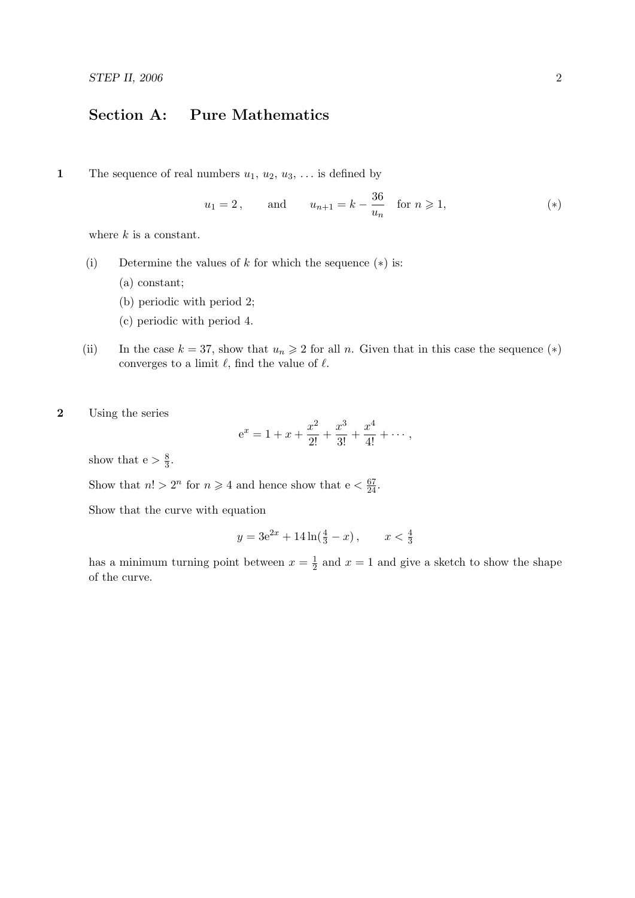## Section A: Pure Mathematics

1 The sequence of real numbers  $u_1, u_2, u_3, \ldots$  is defined by

$$
u_1 = 2
$$
, and  $u_{n+1} = k - \frac{36}{u_n}$  for  $n \ge 1$ , (\*)

where  $k$  is a constant.

- (i) Determine the values of  $k$  for which the sequence  $(*)$  is:
	- (a) constant;
	- (b) periodic with period 2;
	- (c) periodic with period 4.
- (ii) In the case  $k = 37$ , show that  $u_n \geq 2$  for all n. Given that in this case the sequence (\*) converges to a limit  $\ell$ , find the value of  $\ell$ .
- 2 Using the series

$$
e^x = 1 + x + \frac{x^2}{2!} + \frac{x^3}{3!} + \frac{x^4}{4!} + \cdots
$$

show that  $e > \frac{8}{3}$  $\frac{8}{3}$ .

Show that  $n! > 2^n$  for  $n \ge 4$  and hence show that  $e < \frac{67}{24}$ .

Show that the curve with equation

$$
y = 3e^{2x} + 14\ln(\frac{4}{3} - x), \qquad x < \frac{4}{3}
$$

has a minimum turning point between  $x=\frac{1}{2}$  $\frac{1}{2}$  and  $x = 1$  and give a sketch to show the shape of the curve.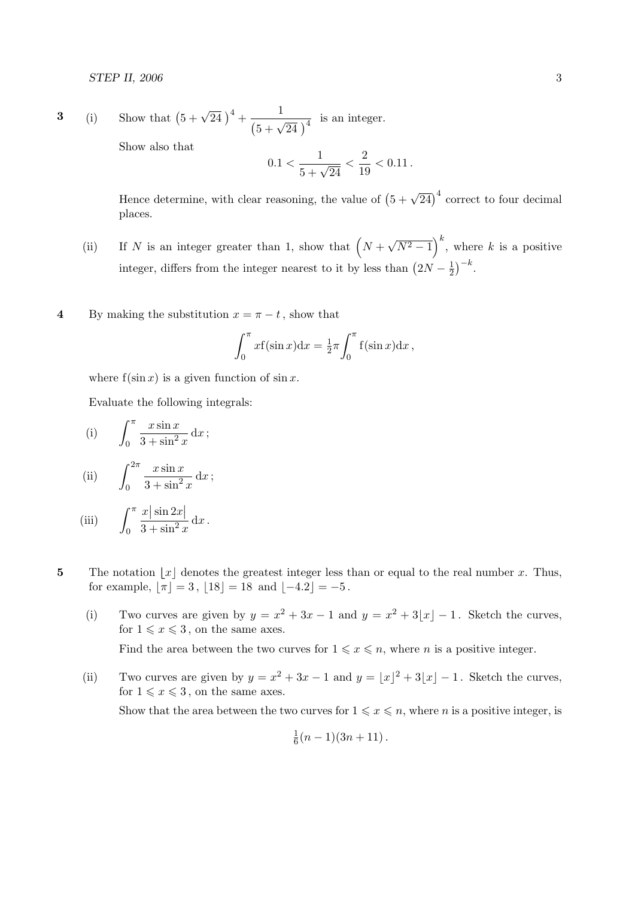3 (i) Show that 
$$
(5 + \sqrt{24})^4 + \frac{1}{(5 + \sqrt{24})^4}
$$
 is an integer.  
Show also that

Show also that

$$
0.1<\frac{1}{5+\sqrt{24}}<\frac{2}{19}<0.11\,.
$$

Hence determine, with clear reasoning, the value of  $(5 + \sqrt{24})^4$  correct to four decimal places.

- (ii) If N is an integer greater than 1, show that  $(N +$ √  $(\overline{N^2-1})^k$ , where k is a positive integer, differs from the integer nearest to it by less than  $(2N - \frac{1}{2})$  $(\frac{1}{2})^{-k}$ .
- 4 By making the substitution  $x = \pi t$ , show that

$$
\int_0^\pi x f(\sin x) dx = \frac{1}{2}\pi \int_0^\pi f(\sin x) dx,
$$

where  $f(\sin x)$  is a given function of  $\sin x$ .

Evaluate the following integrals:

(i) 
$$
\int_0^\pi \frac{x \sin x}{3 + \sin^2 x} dx;
$$

(ii) 
$$
\int_0^{2\pi} \frac{x \sin x}{3 + \sin^2 x} dx;
$$

(iii) 
$$
\int_0^\pi \frac{x |\sin 2x|}{3 + \sin^2 x} dx.
$$

- 5 The notation  $|x|$  denotes the greatest integer less than or equal to the real number x. Thus, for example,  $[\pi] = 3$ ,  $[18] = 18$  and  $[-4.2] = -5$ .
	- (i) Two curves are given by  $y = x^2 + 3x 1$  and  $y = x^2 + 3|x| 1$ . Sketch the curves, for  $1 \leqslant x \leqslant 3$ , on the same axes. Find the area between the two curves for  $1 \leq x \leq n$ , where *n* is a positive integer.
	- (ii) Two curves are given by  $y = x^2 + 3x 1$  and  $y = |x|^2 + 3|x| 1$ . Sketch the curves, for  $1 \leqslant x \leqslant 3$ , on the same axes. Show that the area between the two curves for  $1 \leq x \leq n$ , where *n* is a positive integer, is

$$
\frac{1}{6}(n-1)(3n+11).
$$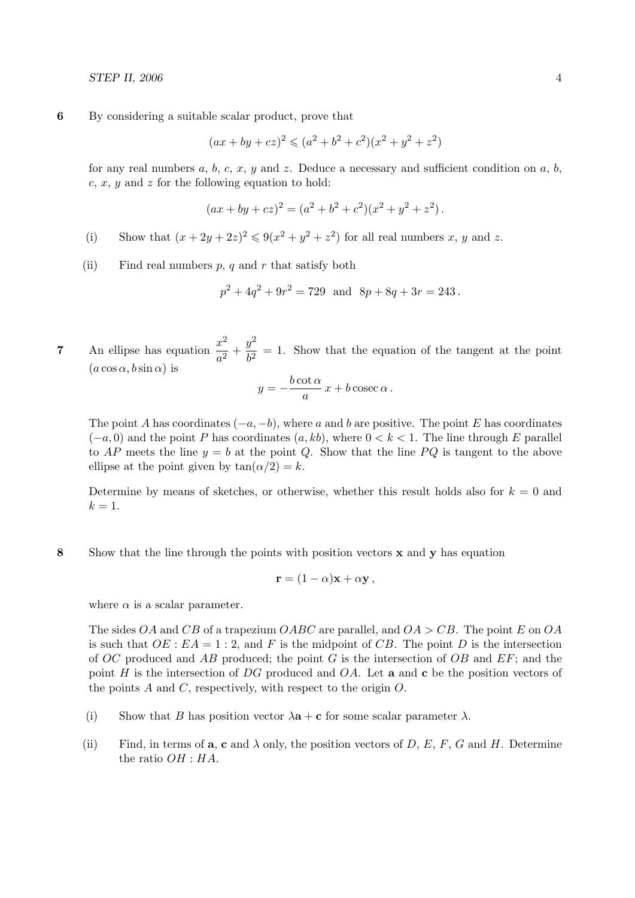6 By considering a suitable scalar product, prove that

$$
(ax + by + cz)^2 \leq (a^2 + b^2 + c^2)(x^2 + y^2 + z^2)
$$

for any real numbers a, b, c, x, y and z. Deduce a necessary and sufficient condition on a, b, c, x, y and z for the following equation to hold:

$$
(ax + by + cz)2 = (a2 + b2 + c2)(x2 + y2 + z2).
$$

- (i) Show that  $(x+2y+2z)^2 \leq 9(x^2+y^2+z^2)$  for all real numbers x, y and z.
- (ii) Find real numbers  $p, q$  and  $r$  that satisfy both

$$
p^2 + 4q^2 + 9r^2 = 729 \text{ and } 8p + 8q + 3r = 243.
$$

7 An ellipse has equation  $\frac{x^2}{2}$  $rac{x^2}{a^2} + \frac{y^2}{b^2}$  $\frac{b^2}{b^2} = 1$ . Show that the equation of the tangent at the point  $(a \cos \alpha, b \sin \alpha)$  is

$$
y = -\frac{b \cot \alpha}{a} x + b \csc \alpha.
$$

The point A has coordinates  $(-a, -b)$ , where a and b are positive. The point E has coordinates  $(-a, 0)$  and the point P has coordinates  $(a, kb)$ , where  $0 < k < 1$ . The line through E parallel to AP meets the line  $y = b$  at the point Q. Show that the line PQ is tangent to the above ellipse at the point given by  $tan(\alpha/2) = k$ .

Determine by means of sketches, or otherwise, whether this result holds also for  $k = 0$  and  $k=1$ .

8 Show that the line through the points with position vectors  $x$  and  $y$  has equation

$$
\mathbf{r} = (1 - \alpha)\mathbf{x} + \alpha\mathbf{y},
$$

where  $\alpha$  is a scalar parameter.

The sides OA and CB of a trapezium OABC are parallel, and  $OA > CB$ . The point E on OA is such that  $OE : EA = 1:2$ , and F is the midpoint of CB. The point D is the intersection of OC produced and AB produced; the point G is the intersection of  $OB$  and  $EF$ ; and the point H is the intersection of DG produced and  $OA$ . Let **a** and **c** be the position vectors of the points  $A$  and  $C$ , respectively, with respect to the origin  $O$ .

- (i) Show that B has position vector  $\lambda \mathbf{a} + \mathbf{c}$  for some scalar parameter  $\lambda$ .
- (ii) Find, in terms of **a**, **c** and  $\lambda$  only, the position vectors of D, E, F, G and H. Determine the ratio OH : HA.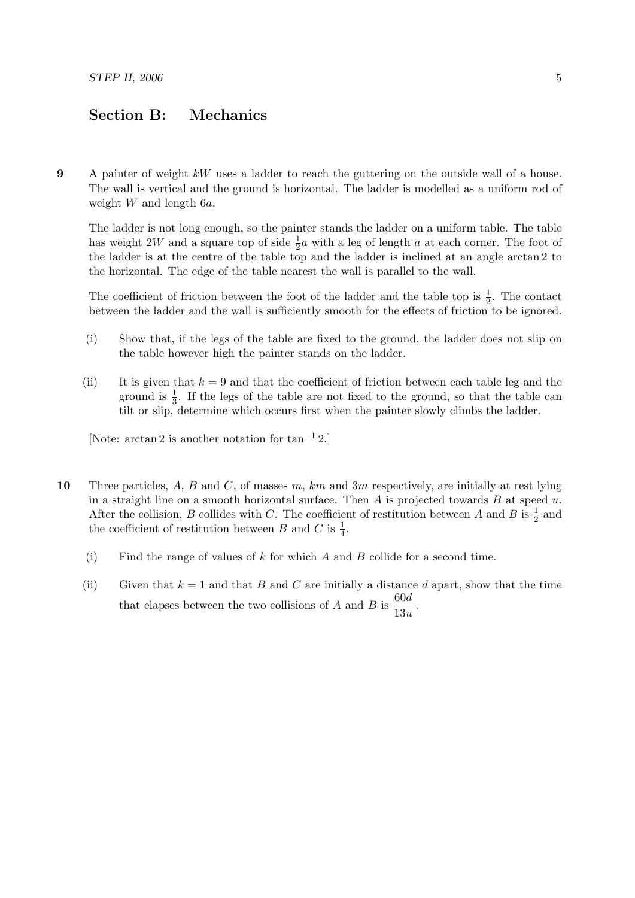## Section B: Mechanics

9 A painter of weight kW uses a ladder to reach the guttering on the outside wall of a house. The wall is vertical and the ground is horizontal. The ladder is modelled as a uniform rod of weight W and length 6a.

The ladder is not long enough, so the painter stands the ladder on a uniform table. The table has weight 2W and a square top of side  $\frac{1}{2}a$  with a leg of length a at each corner. The foot of the ladder is at the centre of the table top and the ladder is inclined at an angle arctan 2 to the horizontal. The edge of the table nearest the wall is parallel to the wall.

The coefficient of friction between the foot of the ladder and the table top is  $\frac{1}{2}$ . The contact between the ladder and the wall is sufficiently smooth for the effects of friction to be ignored.

- (i) Show that, if the legs of the table are fixed to the ground, the ladder does not slip on the table however high the painter stands on the ladder.
- (ii) It is given that  $k = 9$  and that the coefficient of friction between each table leg and the ground is  $\frac{1}{3}$ . If the legs of the table are not fixed to the ground, so that the table can tilt or slip, determine which occurs first when the painter slowly climbs the ladder.

[Note: arctan 2 is another notation for tan−<sup>1</sup> 2.]

- 10 Three particles, A, B and C, of masses m, km and 3m respectively, are initially at rest lying in a straight line on a smooth horizontal surface. Then  $A$  is projected towards  $B$  at speed  $u$ . After the collision, B collides with C. The coefficient of restitution between A and B is  $\frac{1}{2}$  and the coefficient of restitution between B and C is  $\frac{1}{4}$ .
	- (i) Find the range of values of k for which  $A$  and  $B$  collide for a second time.
	- (ii) Given that  $k = 1$  and that B and C are initially a distance d apart, show that the time that elapses between the two collisions of A and B is  $\frac{60d}{12}$  $\frac{36a}{13u}$ .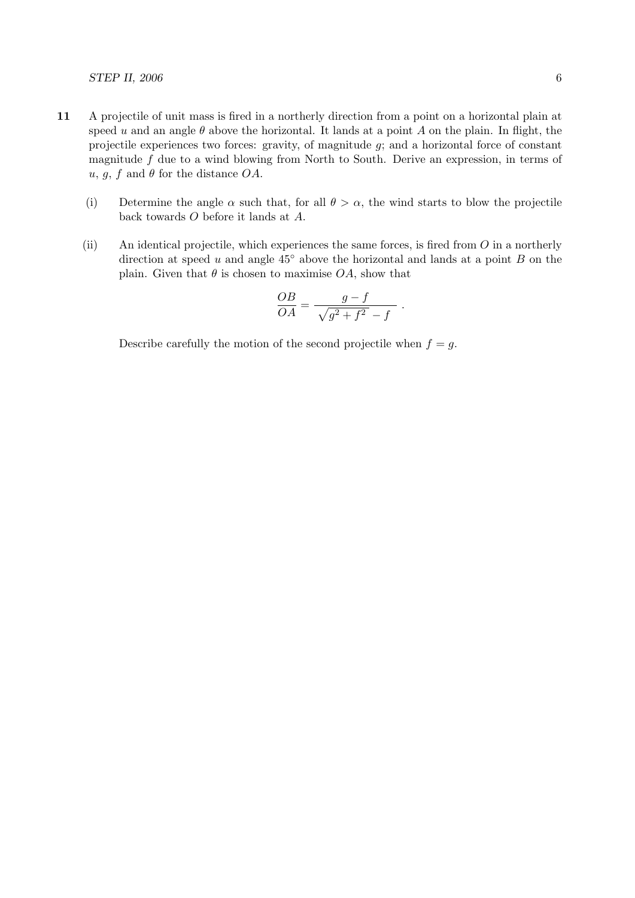## $STEP$  II, 2006 6

- 11 A projectile of unit mass is fired in a northerly direction from a point on a horizontal plain at speed u and an angle  $\theta$  above the horizontal. It lands at a point A on the plain. In flight, the projectile experiences two forces: gravity, of magnitude g; and a horizontal force of constant magnitude  $f$  due to a wind blowing from North to South. Derive an expression, in terms of u, g, f and  $\theta$  for the distance OA.
	- (i) Determine the angle  $\alpha$  such that, for all  $\theta > \alpha$ , the wind starts to blow the projectile back towards O before it lands at A.
	- (ii) An identical projectile, which experiences the same forces, is fired from  $O$  in a northerly direction at speed u and angle  $45°$  above the horizontal and lands at a point B on the plain. Given that  $\theta$  is chosen to maximise  $OA$ , show that

$$
\frac{OB}{OA} = \frac{g - f}{\sqrt{g^2 + f^2} - f} .
$$

Describe carefully the motion of the second projectile when  $f = g$ .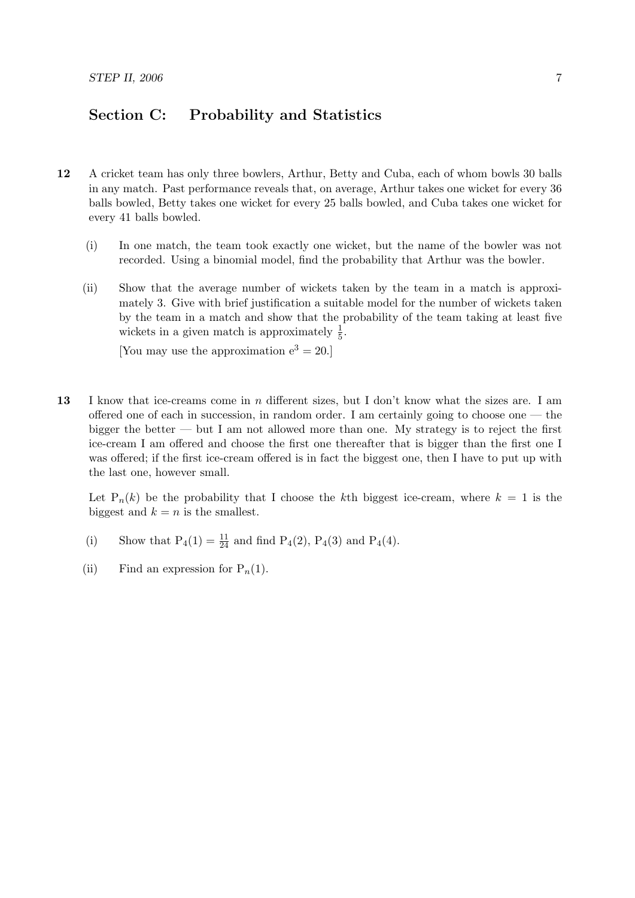## Section C: Probability and Statistics

- 12 A cricket team has only three bowlers, Arthur, Betty and Cuba, each of whom bowls 30 balls in any match. Past performance reveals that, on average, Arthur takes one wicket for every 36 balls bowled, Betty takes one wicket for every 25 balls bowled, and Cuba takes one wicket for every 41 balls bowled.
	- (i) In one match, the team took exactly one wicket, but the name of the bowler was not recorded. Using a binomial model, find the probability that Arthur was the bowler.
	- (ii) Show that the average number of wickets taken by the team in a match is approximately 3. Give with brief justification a suitable model for the number of wickets taken by the team in a match and show that the probability of the team taking at least five wickets in a given match is approximately  $\frac{1}{5}$ .

[You may use the approximation  $e^3 = 20$ .]

13 I know that ice-creams come in n different sizes, but I don't know what the sizes are. I am offered one of each in succession, in random order. I am certainly going to choose one — the bigger the better — but I am not allowed more than one. My strategy is to reject the first ice-cream I am offered and choose the first one thereafter that is bigger than the first one I was offered; if the first ice-cream offered is in fact the biggest one, then I have to put up with the last one, however small.

Let  $P_n(k)$  be the probability that I choose the kth biggest ice-cream, where  $k = 1$  is the biggest and  $k = n$  is the smallest.

- (i) Show that  $P_4(1) = \frac{11}{24}$  and find  $P_4(2)$ ,  $P_4(3)$  and  $P_4(4)$ .
- (ii) Find an expression for  $P_n(1)$ .